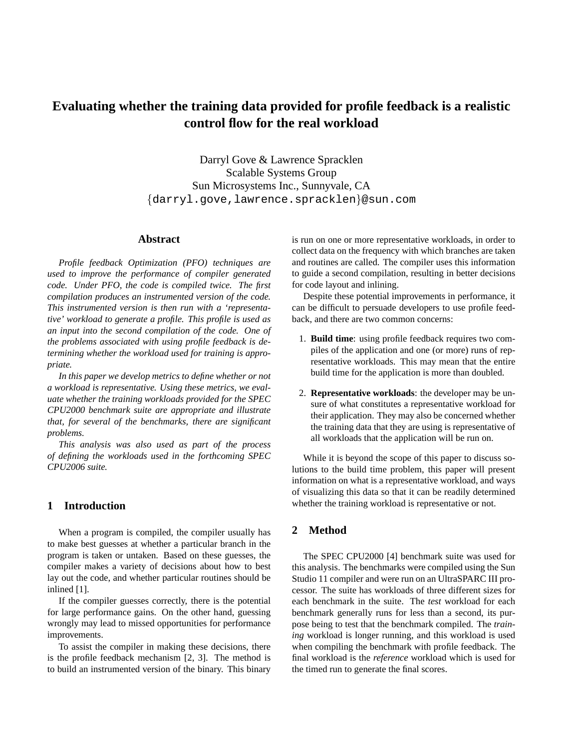# **Evaluating whether the training data provided for profile feedback is a realistic control flow for the real workload**

Darryl Gove & Lawrence Spracklen Scalable Systems Group Sun Microsystems Inc., Sunnyvale, CA {darryl.gove,lawrence.spracklen}@sun.com

# **Abstract**

*Profile feedback Optimization (PFO) techniques are used to improve the performance of compiler generated code. Under PFO, the code is compiled twice. The first compilation produces an instrumented version of the code. This instrumented version is then run with a 'representative' workload to generate a profile. This profile is used as an input into the second compilation of the code. One of the problems associated with using profile feedback is determining whether the workload used for training is appropriate.*

*In this paper we develop metrics to define whether or not a workload is representative. Using these metrics, we evaluate whether the training workloads provided for the SPEC CPU2000 benchmark suite are appropriate and illustrate that, for several of the benchmarks, there are significant problems.*

*This analysis was also used as part of the process of defining the workloads used in the forthcoming SPEC CPU2006 suite.*

# **1 Introduction**

When a program is compiled, the compiler usually has to make best guesses at whether a particular branch in the program is taken or untaken. Based on these guesses, the compiler makes a variety of decisions about how to best lay out the code, and whether particular routines should be inlined [1].

If the compiler guesses correctly, there is the potential for large performance gains. On the other hand, guessing wrongly may lead to missed opportunities for performance improvements.

To assist the compiler in making these decisions, there is the profile feedback mechanism [2, 3]. The method is to build an instrumented version of the binary. This binary is run on one or more representative workloads, in order to collect data on the frequency with which branches are taken and routines are called. The compiler uses this information to guide a second compilation, resulting in better decisions for code layout and inlining.

Despite these potential improvements in performance, it can be difficult to persuade developers to use profile feedback, and there are two common concerns:

- 1. **Build time**: using profile feedback requires two compiles of the application and one (or more) runs of representative workloads. This may mean that the entire build time for the application is more than doubled.
- 2. **Representative workloads**: the developer may be unsure of what constitutes a representative workload for their application. They may also be concerned whether the training data that they are using is representative of all workloads that the application will be run on.

While it is beyond the scope of this paper to discuss solutions to the build time problem, this paper will present information on what is a representative workload, and ways of visualizing this data so that it can be readily determined whether the training workload is representative or not.

# **2 Method**

The SPEC CPU2000 [4] benchmark suite was used for this analysis. The benchmarks were compiled using the Sun Studio 11 compiler and were run on an UltraSPARC III processor. The suite has workloads of three different sizes for each benchmark in the suite. The *test* workload for each benchmark generally runs for less than a second, its purpose being to test that the benchmark compiled. The *training* workload is longer running, and this workload is used when compiling the benchmark with profile feedback. The final workload is the *reference* workload which is used for the timed run to generate the final scores.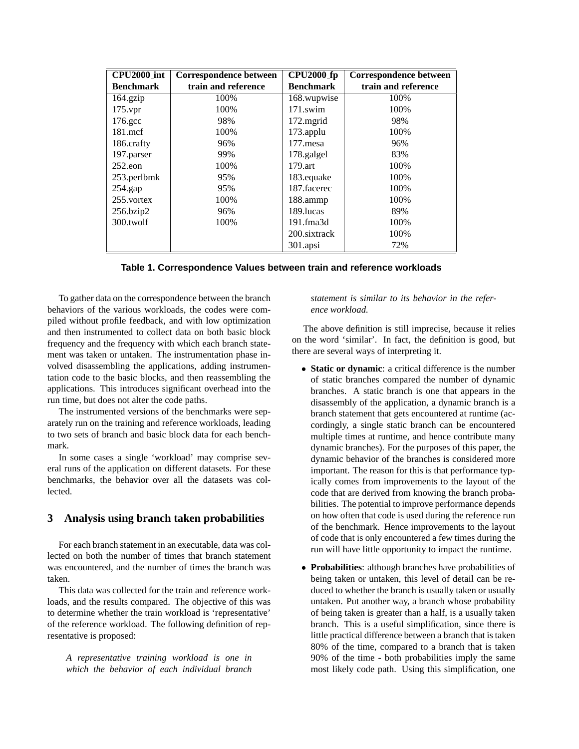| <b>CPU2000_int</b> | Correspondence between | <b>CPU2000_fp</b> | Correspondence between |
|--------------------|------------------------|-------------------|------------------------|
| <b>Benchmark</b>   | train and reference    | <b>Benchmark</b>  | train and reference    |
| $164$ .gzip        | 100%                   | 168.wupwise       | 100%                   |
| $175$ .vpr         | 100%                   | $171$ .swim       | 100%                   |
| 176.gcc            | 98%                    | 172.mgrid         | 98%                    |
| $181$ .mcf         | 100%                   | 173.applu         | 100%                   |
| 186.crafty         | 96%                    | 177.mesa          | 96%                    |
| 197.parser         | 99%                    | 178.galgel        | 83%                    |
| $252$ .eon         | 100%                   | 179.art           | 100%                   |
| 253.perlbmk        | 95%                    | 183.equake        | 100%                   |
| $254$ .gap         | 95%                    | 187.facerec       | 100%                   |
| 255. vortex        | 100%                   | 188.ammp          | 100%                   |
| 256.bzip2          | 96%                    | 189.lucas         | 89%                    |
| 300.twolf          | 100%                   | 191.fma3d         | 100%                   |
|                    |                        | 200.sixtrack      | 100%                   |
|                    |                        | $301$ .apsi       | 72%                    |

|  | Table 1. Correspondence Values between train and reference workloads |  |  |  |  |
|--|----------------------------------------------------------------------|--|--|--|--|
|--|----------------------------------------------------------------------|--|--|--|--|

To gather data on the correspondence between the branch behaviors of the various workloads, the codes were compiled without profile feedback, and with low optimization and then instrumented to collect data on both basic block frequency and the frequency with which each branch statement was taken or untaken. The instrumentation phase involved disassembling the applications, adding instrumentation code to the basic blocks, and then reassembling the applications. This introduces significant overhead into the run time, but does not alter the code paths.

The instrumented versions of the benchmarks were separately run on the training and reference workloads, leading to two sets of branch and basic block data for each benchmark.

In some cases a single 'workload' may comprise several runs of the application on different datasets. For these benchmarks, the behavior over all the datasets was collected.

## **3 Analysis using branch taken probabilities**

For each branch statement in an executable, data was collected on both the number of times that branch statement was encountered, and the number of times the branch was taken.

This data was collected for the train and reference workloads, and the results compared. The objective of this was to determine whether the train workload is 'representative' of the reference workload. The following definition of representative is proposed:

*A representative training workload is one in which the behavior of each individual branch*

#### *statement is similar to its behavior in the reference workload.*

The above definition is still imprecise, because it relies on the word 'similar'. In fact, the definition is good, but there are several ways of interpreting it.

- **Static or dynamic**: a critical difference is the number of static branches compared the number of dynamic branches. A static branch is one that appears in the disassembly of the application, a dynamic branch is a branch statement that gets encountered at runtime (accordingly, a single static branch can be encountered multiple times at runtime, and hence contribute many dynamic branches). For the purposes of this paper, the dynamic behavior of the branches is considered more important. The reason for this is that performance typically comes from improvements to the layout of the code that are derived from knowing the branch probabilities. The potential to improve performance depends on how often that code is used during the reference run of the benchmark. Hence improvements to the layout of code that is only encountered a few times during the run will have little opportunity to impact the runtime.
- **Probabilities**: although branches have probabilities of being taken or untaken, this level of detail can be reduced to whether the branch is usually taken or usually untaken. Put another way, a branch whose probability of being taken is greater than a half, is a usually taken branch. This is a useful simplification, since there is little practical difference between a branch that is taken 80% of the time, compared to a branch that is taken 90% of the time - both probabilities imply the same most likely code path. Using this simplification, one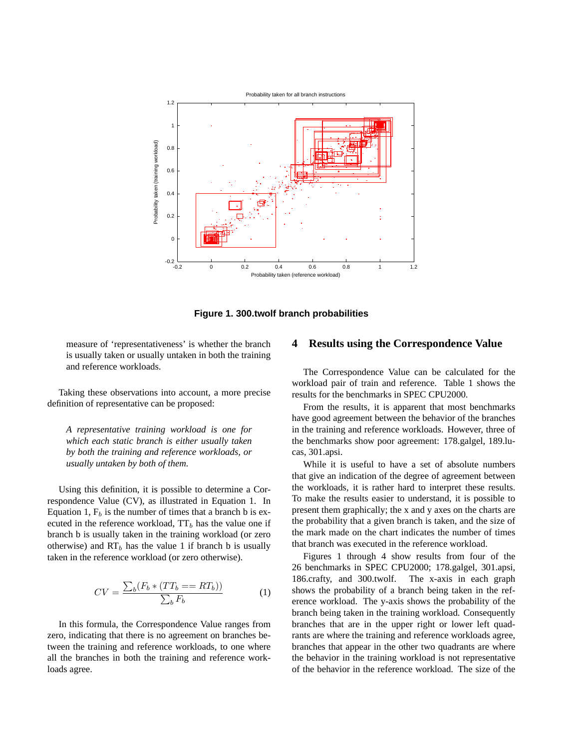

**Figure 1. 300.twolf branch probabilities**

measure of 'representativeness' is whether the branch is usually taken or usually untaken in both the training and reference workloads.

Taking these observations into account, a more precise definition of representative can be proposed:

*A representative training workload is one for which each static branch is either usually taken by both the training and reference workloads, or usually untaken by both of them.*

Using this definition, it is possible to determine a Correspondence Value (CV), as illustrated in Equation 1. In Equation 1,  $F_b$  is the number of times that a branch b is executed in the reference workload,  $TT_b$  has the value one if branch b is usually taken in the training workload (or zero otherwise) and  $RT_b$  has the value 1 if branch b is usually taken in the reference workload (or zero otherwise).

$$
CV = \frac{\sum_{b}(F_b * (TT_b == RT_b))}{\sum_{b} F_b} \tag{1}
$$

In this formula, the Correspondence Value ranges from zero, indicating that there is no agreement on branches between the training and reference workloads, to one where all the branches in both the training and reference workloads agree.

#### **4 Results using the Correspondence Value**

The Correspondence Value can be calculated for the workload pair of train and reference. Table 1 shows the results for the benchmarks in SPEC CPU2000.

From the results, it is apparent that most benchmarks have good agreement between the behavior of the branches in the training and reference workloads. However, three of the benchmarks show poor agreement: 178.galgel, 189.lucas, 301.apsi.

While it is useful to have a set of absolute numbers that give an indication of the degree of agreement between the workloads, it is rather hard to interpret these results. To make the results easier to understand, it is possible to present them graphically; the x and y axes on the charts are the probability that a given branch is taken, and the size of the mark made on the chart indicates the number of times that branch was executed in the reference workload.

Figures 1 through 4 show results from four of the 26 benchmarks in SPEC CPU2000; 178.galgel, 301.apsi, 186.crafty, and 300.twolf. The x-axis in each graph shows the probability of a branch being taken in the reference workload. The y-axis shows the probability of the branch being taken in the training workload. Consequently branches that are in the upper right or lower left quadrants are where the training and reference workloads agree, branches that appear in the other two quadrants are where the behavior in the training workload is not representative of the behavior in the reference workload. The size of the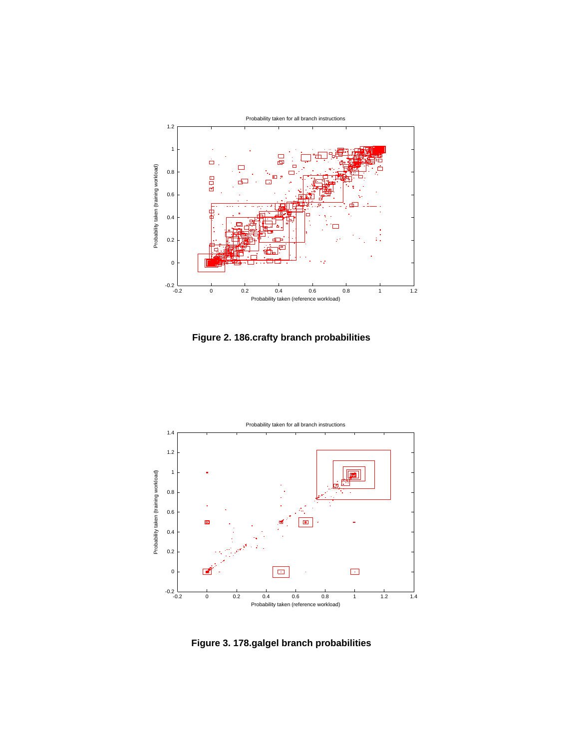

**Figure 2. 186.crafty branch probabilities**



**Figure 3. 178.galgel branch probabilities**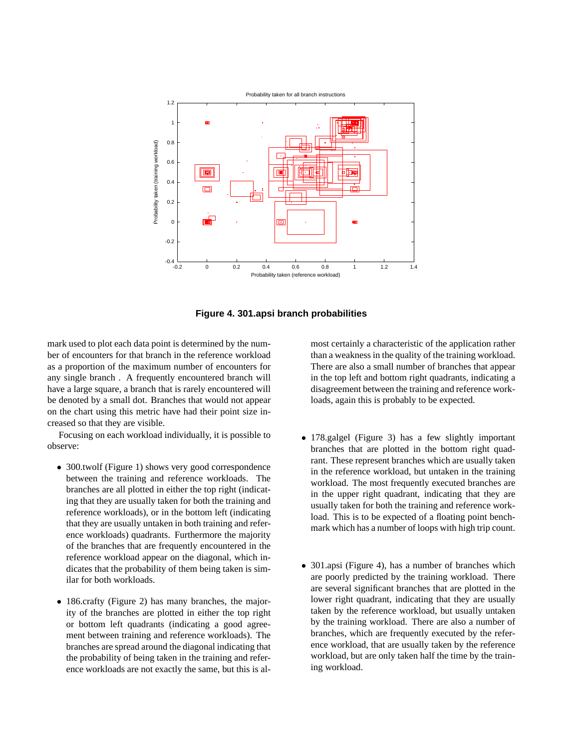

**Figure 4. 301.apsi branch probabilities**

mark used to plot each data point is determined by the number of encounters for that branch in the reference workload as a proportion of the maximum number of encounters for any single branch . A frequently encountered branch will have a large square, a branch that is rarely encountered will be denoted by a small dot. Branches that would not appear on the chart using this metric have had their point size increased so that they are visible.

Focusing on each workload individually, it is possible to observe:

- 300.twolf (Figure 1) shows very good correspondence between the training and reference workloads. The branches are all plotted in either the top right (indicating that they are usually taken for both the training and reference workloads), or in the bottom left (indicating that they are usually untaken in both training and reference workloads) quadrants. Furthermore the majority of the branches that are frequently encountered in the reference workload appear on the diagonal, which indicates that the probability of them being taken is similar for both workloads.
- 186.crafty (Figure 2) has many branches, the majority of the branches are plotted in either the top right or bottom left quadrants (indicating a good agreement between training and reference workloads). The branches are spread around the diagonal indicating that the probability of being taken in the training and reference workloads are not exactly the same, but this is al-

most certainly a characteristic of the application rather than a weakness in the quality of the training workload. There are also a small number of branches that appear in the top left and bottom right quadrants, indicating a disagreement between the training and reference workloads, again this is probably to be expected.

- 178.galgel (Figure 3) has a few slightly important branches that are plotted in the bottom right quadrant. These represent branches which are usually taken in the reference workload, but untaken in the training workload. The most frequently executed branches are in the upper right quadrant, indicating that they are usually taken for both the training and reference workload. This is to be expected of a floating point benchmark which has a number of loops with high trip count.
- 301.apsi (Figure 4), has a number of branches which are poorly predicted by the training workload. There are several significant branches that are plotted in the lower right quadrant, indicating that they are usually taken by the reference workload, but usually untaken by the training workload. There are also a number of branches, which are frequently executed by the reference workload, that are usually taken by the reference workload, but are only taken half the time by the training workload.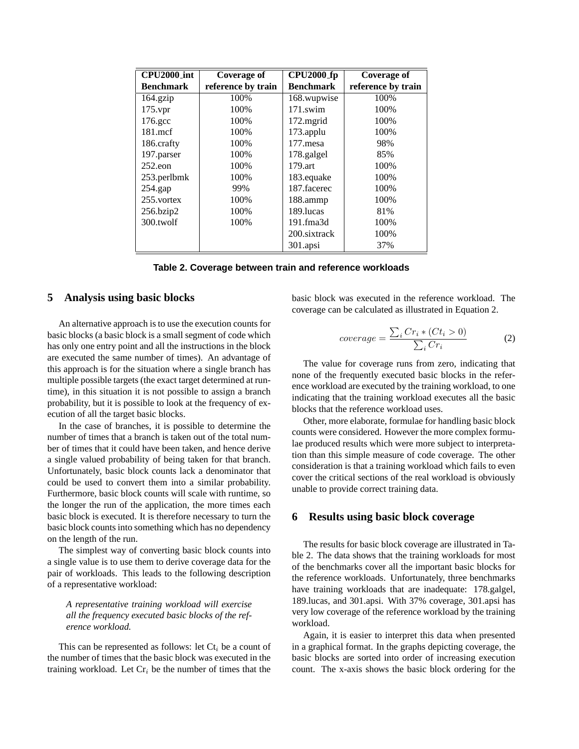| <b>CPU2000_int</b> | Coverage of        | <b>CPU2000_fp</b> | <b>Coverage of</b> |
|--------------------|--------------------|-------------------|--------------------|
| <b>Benchmark</b>   | reference by train | <b>Benchmark</b>  | reference by train |
| $164$ .gzip        | 100\%              | 168.wupwise       | 100%               |
| $175$ . vpr        | 100%               | $171$ .swim       | 100%               |
| 176.gcc            | 100%               | $172$ .mgrid      | 100%               |
| $181$ mcf          | 100%               | $173$ .applu      | 100%               |
| 186.crafty         | 100%               | 177.mesa          | 98%                |
| 197.parser         | 100%               | 178.galgel        | 85%                |
| $252$ .eon         | 100%               | $179.$ art        | 100%               |
| 253.perlbmk        | 100%               | 183.equake        | 100%               |
| $254$ .gap         | 99%                | 187.facerec       | 100%               |
| 255. vortex        | 100%               | 188.ammp          | 100\%              |
| 256.bzip2          | 100%               | 189. lucas        | 81%                |
| 300.twolf          | 100%               | 191.fma3d         | 100%               |
|                    |                    | 200.sixtrack      | 100%               |
|                    |                    | 301.apsi          | 37%                |

| Table 2. Coverage between train and reference workloads |  |  |  |
|---------------------------------------------------------|--|--|--|
|---------------------------------------------------------|--|--|--|

#### **5 Analysis using basic blocks**

An alternative approach is to use the execution counts for basic blocks (a basic block is a small segment of code which has only one entry point and all the instructions in the block are executed the same number of times). An advantage of this approach is for the situation where a single branch has multiple possible targets (the exact target determined at runtime), in this situation it is not possible to assign a branch probability, but it is possible to look at the frequency of execution of all the target basic blocks.

In the case of branches, it is possible to determine the number of times that a branch is taken out of the total number of times that it could have been taken, and hence derive a single valued probability of being taken for that branch. Unfortunately, basic block counts lack a denominator that could be used to convert them into a similar probability. Furthermore, basic block counts will scale with runtime, so the longer the run of the application, the more times each basic block is executed. It is therefore necessary to turn the basic block counts into something which has no dependency on the length of the run.

The simplest way of converting basic block counts into a single value is to use them to derive coverage data for the pair of workloads. This leads to the following description of a representative workload:

*A representative training workload will exercise all the frequency executed basic blocks of the reference workload.*

This can be represented as follows: let  $C_t$  be a count of the number of times that the basic block was executed in the training workload. Let  $Cr_i$  be the number of times that the

basic block was executed in the reference workload. The coverage can be calculated as illustrated in Equation 2.

$$
coverage = \frac{\sum_{i} Cr_{i} * (Ct_{i} > 0)}{\sum_{i} Cr_{i}} \tag{2}
$$

The value for coverage runs from zero, indicating that none of the frequently executed basic blocks in the reference workload are executed by the training workload, to one indicating that the training workload executes all the basic blocks that the reference workload uses.

Other, more elaborate, formulae for handling basic block counts were considered. However the more complex formulae produced results which were more subject to interpretation than this simple measure of code coverage. The other consideration is that a training workload which fails to even cover the critical sections of the real workload is obviously unable to provide correct training data.

## **6 Results using basic block coverage**

The results for basic block coverage are illustrated in Table 2. The data shows that the training workloads for most of the benchmarks cover all the important basic blocks for the reference workloads. Unfortunately, three benchmarks have training workloads that are inadequate: 178.galgel, 189.lucas, and 301.apsi. With 37% coverage, 301.apsi has very low coverage of the reference workload by the training workload.

Again, it is easier to interpret this data when presented in a graphical format. In the graphs depicting coverage, the basic blocks are sorted into order of increasing execution count. The x-axis shows the basic block ordering for the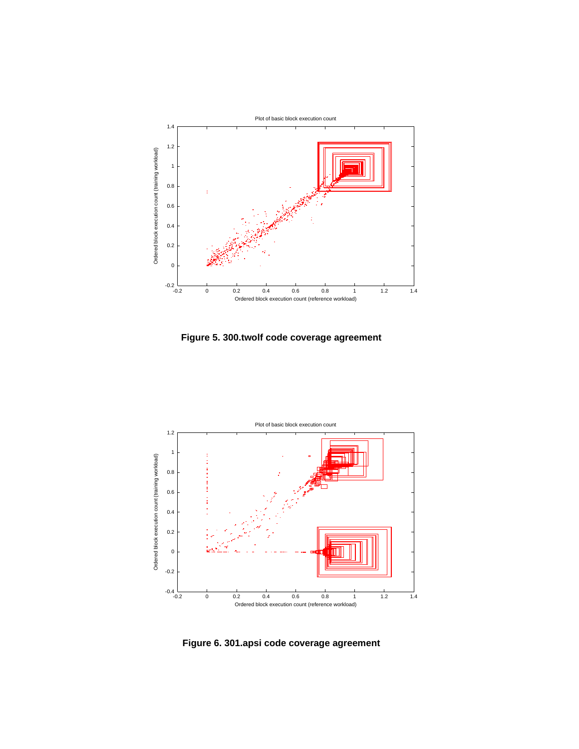

**Figure 5. 300.twolf code coverage agreement**



**Figure 6. 301.apsi code coverage agreement**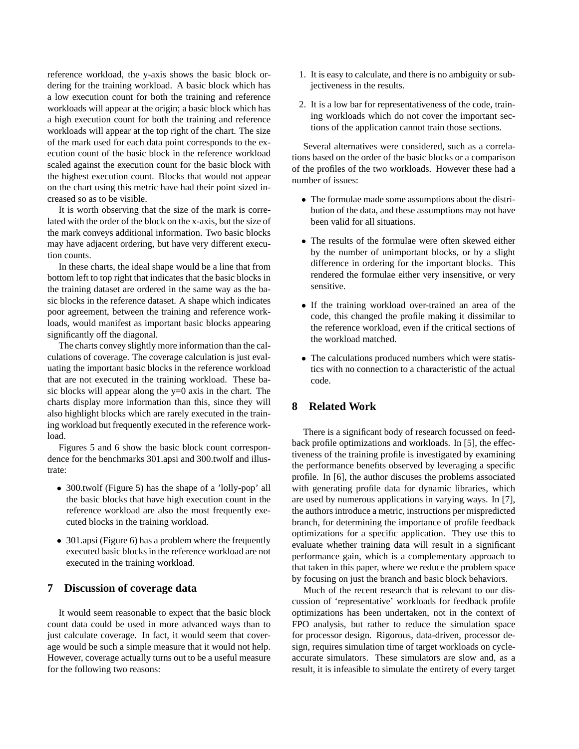reference workload, the y-axis shows the basic block ordering for the training workload. A basic block which has a low execution count for both the training and reference workloads will appear at the origin; a basic block which has a high execution count for both the training and reference workloads will appear at the top right of the chart. The size of the mark used for each data point corresponds to the execution count of the basic block in the reference workload scaled against the execution count for the basic block with the highest execution count. Blocks that would not appear on the chart using this metric have had their point sized increased so as to be visible.

It is worth observing that the size of the mark is correlated with the order of the block on the x-axis, but the size of the mark conveys additional information. Two basic blocks may have adjacent ordering, but have very different execution counts.

In these charts, the ideal shape would be a line that from bottom left to top right that indicates that the basic blocks in the training dataset are ordered in the same way as the basic blocks in the reference dataset. A shape which indicates poor agreement, between the training and reference workloads, would manifest as important basic blocks appearing significantly off the diagonal.

The charts convey slightly more information than the calculations of coverage. The coverage calculation is just evaluating the important basic blocks in the reference workload that are not executed in the training workload. These basic blocks will appear along the y=0 axis in the chart. The charts display more information than this, since they will also highlight blocks which are rarely executed in the training workload but frequently executed in the reference workload.

Figures 5 and 6 show the basic block count correspondence for the benchmarks 301.apsi and 300.twolf and illustrate:

- 300.twolf (Figure 5) has the shape of a 'lolly-pop' all the basic blocks that have high execution count in the reference workload are also the most frequently executed blocks in the training workload.
- 301.apsi (Figure 6) has a problem where the frequently executed basic blocks in the reference workload are not executed in the training workload.

# **7 Discussion of coverage data**

It would seem reasonable to expect that the basic block count data could be used in more advanced ways than to just calculate coverage. In fact, it would seem that coverage would be such a simple measure that it would not help. However, coverage actually turns out to be a useful measure for the following two reasons:

- 1. It is easy to calculate, and there is no ambiguity or subjectiveness in the results.
- 2. It is a low bar for representativeness of the code, training workloads which do not cover the important sections of the application cannot train those sections.

Several alternatives were considered, such as a correlations based on the order of the basic blocks or a comparison of the profiles of the two workloads. However these had a number of issues:

- The formulae made some assumptions about the distribution of the data, and these assumptions may not have been valid for all situations.
- The results of the formulae were often skewed either by the number of unimportant blocks, or by a slight difference in ordering for the important blocks. This rendered the formulae either very insensitive, or very sensitive.
- If the training workload over-trained an area of the code, this changed the profile making it dissimilar to the reference workload, even if the critical sections of the workload matched.
- The calculations produced numbers which were statistics with no connection to a characteristic of the actual code.

# **8 Related Work**

There is a significant body of research focussed on feedback profile optimizations and workloads. In [5], the effectiveness of the training profile is investigated by examining the performance benefits observed by leveraging a specific profile. In [6], the author discuses the problems associated with generating profile data for dynamic libraries, which are used by numerous applications in varying ways. In [7], the authors introduce a metric, instructions per mispredicted branch, for determining the importance of profile feedback optimizations for a specific application. They use this to evaluate whether training data will result in a significant performance gain, which is a complementary approach to that taken in this paper, where we reduce the problem space by focusing on just the branch and basic block behaviors.

Much of the recent research that is relevant to our discussion of 'representative' workloads for feedback profile optimizations has been undertaken, not in the context of FPO analysis, but rather to reduce the simulation space for processor design. Rigorous, data-driven, processor design, requires simulation time of target workloads on cycleaccurate simulators. These simulators are slow and, as a result, it is infeasible to simulate the entirety of every target